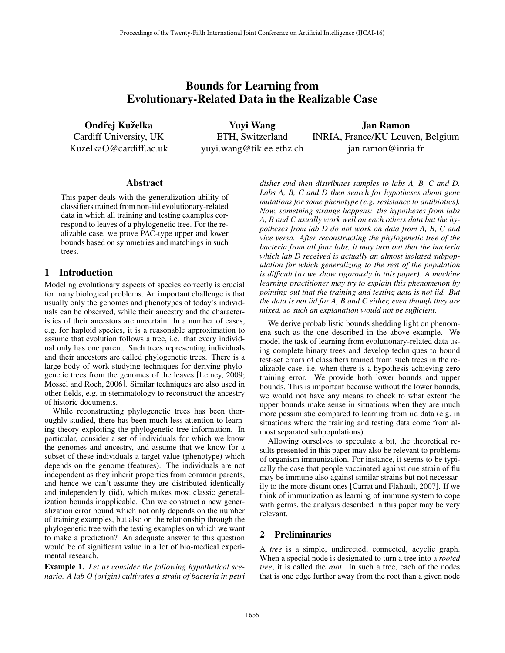# Bounds for Learning from Evolutionary-Related Data in the Realizable Case

Ondřej Kuželka Cardiff University, UK KuzelkaO@cardiff.ac.uk

Yuyi Wang ETH, Switzerland yuyi.wang@tik.ee.ethz.ch

Jan Ramon INRIA, France/KU Leuven, Belgium jan.ramon@inria.fr

#### Abstract

This paper deals with the generalization ability of classifiers trained from non-iid evolutionary-related data in which all training and testing examples correspond to leaves of a phylogenetic tree. For the realizable case, we prove PAC-type upper and lower bounds based on symmetries and matchings in such trees.

### 1 Introduction

Modeling evolutionary aspects of species correctly is crucial for many biological problems. An important challenge is that usually only the genomes and phenotypes of today's individuals can be observed, while their ancestry and the characteristics of their ancestors are uncertain. In a number of cases, e.g. for haploid species, it is a reasonable approximation to assume that evolution follows a tree, i.e. that every individual only has one parent. Such trees representing individuals and their ancestors are called phylogenetic trees. There is a large body of work studying techniques for deriving phylogenetic trees from the genomes of the leaves [Lemey, 2009; Mossel and Roch, 2006]. Similar techniques are also used in other fields, e.g. in stemmatology to reconstruct the ancestry of historic documents.

While reconstructing phylogenetic trees has been thoroughly studied, there has been much less attention to learning theory exploiting the phylogenetic tree information. In particular, consider a set of individuals for which we know the genomes and ancestry, and assume that we know for a subset of these individuals a target value (phenotype) which depends on the genome (features). The individuals are not independent as they inherit properties from common parents, and hence we can't assume they are distributed identically and independently (iid), which makes most classic generalization bounds inapplicable. Can we construct a new generalization error bound which not only depends on the number of training examples, but also on the relationship through the phylogenetic tree with the testing examples on which we want to make a prediction? An adequate answer to this question would be of significant value in a lot of bio-medical experimental research.

Example 1. *Let us consider the following hypothetical scenario. A lab O (origin) cultivates a strain of bacteria in petri* *dishes and then distributes samples to labs A, B, C and D. Labs A, B, C and D then search for hypotheses about gene mutations for some phenotype (e.g. resistance to antibiotics). Now, something strange happens: the hypotheses from labs A, B and C usually work well on each others data but the hypotheses from lab D do not work on data from A, B, C and vice versa. After reconstructing the phylogenetic tree of the bacteria from all four labs, it may turn out that the bacteria which lab D received is actually an almost isolated subpopulation for which generalizing to the rest of the population is difficult (as we show rigorously in this paper). A machine learning practitioner may try to explain this phenomenon by pointing out that the training and testing data is not iid. But the data is not iid for A, B and C either, even though they are mixed, so such an explanation would not be sufficient.*

We derive probabilistic bounds shedding light on phenomena such as the one described in the above example. We model the task of learning from evolutionary-related data using complete binary trees and develop techniques to bound test-set errors of classifiers trained from such trees in the realizable case, i.e. when there is a hypothesis achieving zero training error. We provide both lower bounds and upper bounds. This is important because without the lower bounds, we would not have any means to check to what extent the upper bounds make sense in situations when they are much more pessimistic compared to learning from iid data (e.g. in situations where the training and testing data come from almost separated subpopulations).

Allowing ourselves to speculate a bit, the theoretical results presented in this paper may also be relevant to problems of organism immunization. For instance, it seems to be typically the case that people vaccinated against one strain of flu may be immune also against similar strains but not necessarily to the more distant ones [Carrat and Flahault, 2007]. If we think of immunization as learning of immune system to cope with germs, the analysis described in this paper may be very relevant.

### 2 Preliminaries

A *tree* is a simple, undirected, connected, acyclic graph. When a special node is designated to turn a tree into a *rooted tree*, it is called the *root*. In such a tree, each of the nodes that is one edge further away from the root than a given node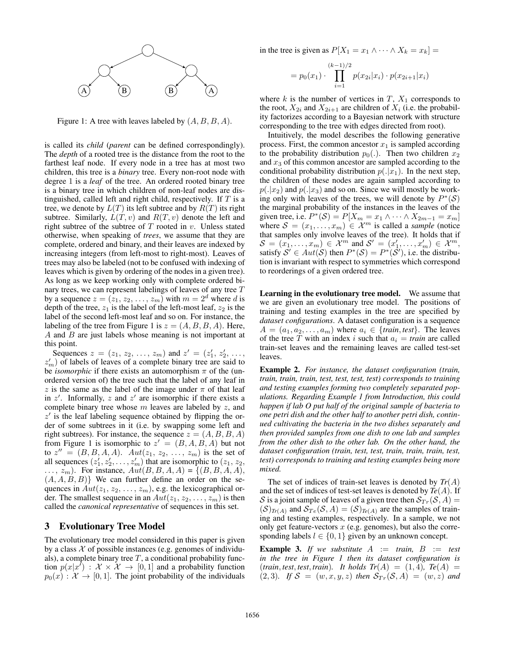

Figure 1: A tree with leaves labeled by (*A, B, B, A*).

is called its *child* (*parent* can be defined correspondingly). The *depth* of a rooted tree is the distance from the root to the farthest leaf node. If every node in a tree has at most two children, this tree is a *binary* tree. Every non-root node with degree 1 is a *leaf* of the tree. An ordered rooted binary tree is a binary tree in which children of non-leaf nodes are distinguished, called left and right child, respectively. If *T* is a tree, we denote by  $L(T)$  its left subtree and by  $R(T)$  its right subtree. Similarly,  $L(T, v)$  and  $R(T, v)$  denote the left and right subtree of the subtree of *T* rooted in *v*. Unless stated otherwise, when speaking of *trees*, we assume that they are complete, ordered and binary, and their leaves are indexed by increasing integers (from left-most to right-most). Leaves of trees may also be labeled (not to be confused with indexing of leaves which is given by ordering of the nodes in a given tree). As long as we keep working only with complete ordered binary trees, we can represent labelings of leaves of any tree *T* by a sequence  $z = (z_1, z_2, \dots, z_m)$  with  $m = 2^d$  where *d* is depth of the tree,  $z_1$  is the label of the left-most leaf,  $z_2$  is the label of the second left-most leaf and so on. For instance, the labeling of the tree from Figure 1 is  $z = (A, B, B, A)$ . Here, *A* and *B* are just labels whose meaning is not important at this point.

Sequences  $z = (z_1, z_2, \ldots, z_m)$  and  $z' = (z'_1, z'_2, \ldots, z'_m)$  $z'_m$ ) of labels of leaves of a complete binary tree are said to be *isomorphic* if there exists an automorphism  $\pi$  of the (unordered version of) the tree such that the label of any leaf in *z* is the same as the label of the image under  $\pi$  of that leaf in  $z'$ . Informally,  $z$  and  $z'$  are isomorphic if there exists a complete binary tree whose *m* leaves are labeled by *z*, and  $z<sup>0</sup>$  is the leaf labeling sequence obtained by flipping the order of some subtrees in it (i.e. by swapping some left and right subtrees). For instance, the sequence  $z = (A, B, B, A)$ from Figure 1 is isomorphic to  $z' = (B, A, B, A)$  but not to  $z'' = (B, B, A, A)$ .  $Aut(z_1, z_2, \ldots, z_m)$  is the set of all sequences  $(z'_1, z'_2, \ldots, z'_m)$  that are isomorphic to  $(z_1, z_2, \ldots, z'_m)$  $\ldots$ ,  $z_m$ ). For instance,  $Aut(B, B, A, A) = \{(B, B, A, A),\}$ (*A, A, B, B*)*}* We can further define an order on the sequences in  $Aut(z_1, z_2, \ldots, z_m)$ , e.g. the lexicographical order. The smallest sequence in an  $Aut(z_1, z_2, \ldots, z_m)$  is then called the *canonical representative* of sequences in this set.

#### 3 Evolutionary Tree Model

The evolutionary tree model considered in this paper is given by a class  $X$  of possible instances (e.g. genomes of individuals), a complete binary tree  $T$ , a conditional probability function  $p(x|x')$  :  $\mathcal{X} \times \mathcal{X} \rightarrow [0,1]$  and a probability function  $p_0(x): \mathcal{X} \to [0, 1]$ . The joint probability of the individuals in the tree is given as  $P[X_1 = x_1 \land \cdots \land X_k = x_k] =$ 

$$
= p_0(x_1) \cdot \prod_{i=1}^{(k-1)/2} p(x_{2i}|x_i) \cdot p(x_{2i+1}|x_i)
$$

where  $k$  is the number of vertices in  $T$ ,  $X_1$  corresponds to the root,  $X_{2i}$  and  $X_{2i+1}$  are children of  $X_i$  (i.e. the probability factorizes according to a Bayesian network with structure corresponding to the tree with edges directed from root).

Intuitively, the model describes the following generative process. First, the common ancestor  $x_1$  is sampled according to the probability distribution  $p_0(.)$ . Then two children  $x_2$ and *x*<sup>3</sup> of this common ancestor are sampled according to the conditional probability distribution  $p(.|x_1)$ . In the next step, the children of these nodes are again sampled according to  $p(.|x_2)$  and  $p(.|x_3)$  and so on. Since we will mostly be working only with leaves of the trees, we will denote by  $P^*(\mathcal{S})$ the marginal probability of the instances in the leaves of the given tree, i.e.  $P^*(S) = P[X_m = x_1 \land \cdots \land X_{2m-1} = x_m]$ where  $S = (x_1, \ldots, x_m) \in \mathcal{X}^m$  is called a *sample* (notice that samples only involve leaves of the tree). It holds that if  $S = (x_1, \ldots, x_m) \in \mathcal{X}^m$  and  $S' = (x'_1, \ldots, x'_m) \in \mathcal{X}^m$ , satisfy  $S' \in Aut(S)$  then  $P^*(S) = P^*(S')$ , i.e. the distribution is invariant with respect to symmetries which correspond to reorderings of a given ordered tree.

Learning in the evolutionary tree model. We assume that we are given an evolutionary tree model. The positions of training and testing examples in the tree are specified by *dataset configurations*. A dataset configuration is a sequence  $A = (a_1, a_2, \ldots, a_m)$  where  $a_i \in \{train, test\}$ . The leaves of the tree *T* with an index *i* such that  $a_i = train$  are called train-set leaves and the remaining leaves are called test-set leaves.

Example 2. *For instance, the dataset configuration (train, train, train, train, test, test, test, test) corresponds to training and testing examples forming two completely separated populations. Regarding Example 1 from Introduction, this could happen if lab O put half of the original sample of bacteria to one petri dish and the other half to another petri dish, continued cultivating the bacteria in the two dishes separately and then provided samples from one dish to one lab and samples from the other dish to the other lab. On the other hand, the dataset configuration (train, test, test, train, train, train, test, test) corresponds to training and testing examples being more mixed.*

The set of indices of train-set leaves is denoted by *Tr*(*A*) and the set of indices of test-set leaves is denoted by *Te*(*A*). If *S* is a joint sample of leaves of a given tree then  $S_{Tr}(S, A)$  =  $(S)_{Tr(A)}$  and  $S_{Te}(S, A) = (S)_{Te(A)}$  are the samples of training and testing examples, respectively. In a sample, we not only get feature-vectors *x* (e.g. genomes), but also the corresponding labels  $l \in \{0, 1\}$  given by an unknown concept.

**Example 3.** If we substitute  $A := train$ ,  $B := test$ *in the tree in Figure 1 then its dataset configuration is*  $(r\pi i n, \text{test}, \text{test}, \text{train})$ *. It holds*  $Tr(A) = (1, 4)$ *,*  $Tr(A) =$  $(2, 3)$ *.* If  $S = (w, x, y, z)$  then  $S_{Tr}(S, A) = (w, z)$  and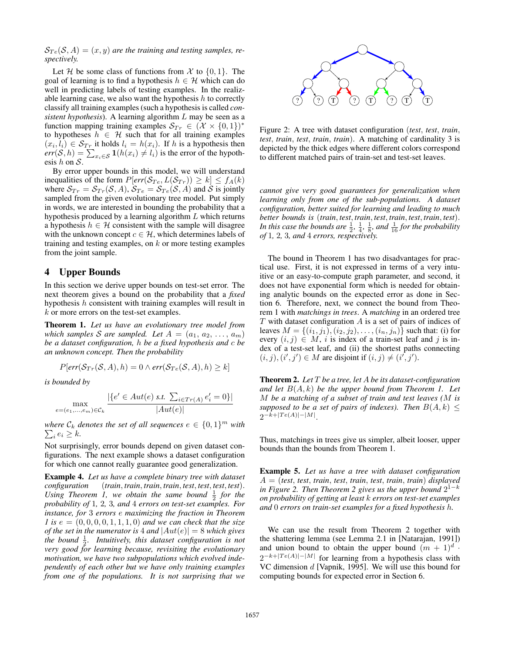$S_{Te}(S, A) = (x, y)$  *are the training and testing samples, respectively.*

Let *H* be some class of functions from *X* to  $\{0, 1\}$ . The goal of learning is to find a hypothesis  $h \in \mathcal{H}$  which can do well in predicting labels of testing examples. In the realizable learning case, we also want the hypothesis *h* to correctly classify all training examples (such a hypothesis is called *consistent hypothesis*). A learning algorithm *L* may be seen as a function mapping training examples  $S_{Tr} \in (\mathcal{X} \times \{0,1\})^*$ to hypotheses  $h \in \mathcal{H}$  such that for all training examples  $(x_i, l_i) \in S_{Tr}$  it holds  $l_i = h(x_i)$ . If *h* is a hypothesis then  $err(S, h) = \sum_{x_i \in S} \mathbf{1}(h(x_i) \neq l_i)$  is the error of the hypothesis *h* on *S*.

By error upper bounds in this model, we will understand inequalities of the form  $P[err(\mathcal{S}_{Te}, L(\mathcal{S}_{Tr})) \geq k] \leq f_A(k)$ where  $S_{Tr} = S_{Tr}(\mathcal{S}, A), S_{Te} = S_{Te}(\mathcal{S}, A)$  and  $\mathcal{S}$  is jointly sampled from the given evolutionary tree model. Put simply in words, we are interested in bounding the probability that a hypothesis produced by a learning algorithm *L* which returns a hypothesis  $h \in \mathcal{H}$  consistent with the sample will disagree with the unknown concept  $c \in \mathcal{H}$ , which determines labels of training and testing examples, on *k* or more testing examples from the joint sample.

## 4 Upper Bounds

In this section we derive upper bounds on test-set error. The next theorem gives a bound on the probability that a *fixed* hypothesis *h* consistent with training examples will result in *k* or more errors on the test-set examples.

Theorem 1. *Let us have an evolutionary tree model from which samples S are sampled.* Let  $A = (a_1, a_2, \ldots, a_m)$ *be a dataset configuration, h be a fixed hypothesis and c be an unknown concept. Then the probability*

$$
P[err(S_{Tr}(S, A), h) = 0 \land err(S_{Te}(S, A), h) \ge k]
$$

*is bounded by*

$$
\max_{e = (e_1, ..., e_m) \in C_k} \frac{|\{e' \in Aut(e) \text{ s.t. } \sum_{i \in Tr(A)} e'_i = 0\}|}{|Aut(e)|}
$$

*where*  $C_k$  *denotes the set of all sequences*  $e \in \{0,1\}^m$  *with*  $\sum_i e_i \geq k$ .

Not surprisingly, error bounds depend on given dataset configurations. The next example shows a dataset configuration for which one cannot really guarantee good generalization.

Example 4. *Let us have a complete binary tree with dataset configuration* (*train, train, train, train, test, test, test, test*)*.* Using Theorem 1, we obtain the same bound  $\frac{1}{2}$  for the *probability of* 1*,* 2*,* 3*, and* 4 *errors on test-set examples. For instance, for* 3 *errors e maximizing the fraction in Theorem 1* is  $e = (0, 0, 0, 0, 1, 1, 1, 0)$  *and we can check that the size of the set in the numerator is* 4 *and*  $|Aut(e)| = 8$  *which gives* the bound  $\frac{1}{2}$ . Intuitively, this dataset configuration is not *very good for learning because, revisiting the evolutionary motivation, we have two subpopulations which evolved independently of each other but we have only training examples from one of the populations. It is not surprising that we*



Figure 2: A tree with dataset configuration (*test, test, train, test, train, test, train, train*). A matching of cardinality 3 is depicted by the thick edges where different colors correspond to different matched pairs of train-set and test-set leaves.

*cannot give very good guarantees for generalization when learning only from one of the sub-populations. A dataset configuration, better suited for learning and leading to much better bounds is* (*train, test, train, test, train, test, train, test*)*.* In this case the bounds are  $\frac{1}{2}$ ,  $\frac{1}{4}$ ,  $\frac{1}{8}$ , and  $\frac{1}{16}$  for the probability *of* 1*,* 2*,* 3*, and* 4 *errors, respectively.*

The bound in Theorem 1 has two disadvantages for practical use. First, it is not expressed in terms of a very intuitive or an easy-to-compute graph parameter, and second, it does not have exponential form which is needed for obtaining analytic bounds on the expected error as done in Section 6. Therefore, next, we connect the bound from Theorem 1 with *matchings in trees*. A *matching* in an ordered tree *T* with dataset configuration *A* is a set of pairs of indices of leaves  $M = \{(i_1, j_1), (i_2, j_2), \ldots, (i_n, j_n)\}$  such that: (i) for every  $(i, j) \in M$ , *i* is index of a train-set leaf and *j* is index of a test-set leaf, and (ii) the shortest paths connecting  $(i, j), (i', j') \in M$  are disjoint if  $(i, j) \neq (i', j').$ 

Theorem 2. *Let T be a tree, let A be its dataset-configuration and let B*(*A, k*) *be the upper bound from Theorem 1. Let M be a matching of a subset of train and test leaves (M is supposed to be a set of pairs of indexes). Then*  $B(A, k) \leq$  $2^{-k+|Te(A)|-|M|}.$ 

Thus, matchings in trees give us simpler, albeit looser, upper bounds than the bounds from Theorem 1.

Example 5. *Let us have a tree with dataset configuration A* = (*test, test, train, test, train, test, train, train*) *displayed in Figure 2. Then Theorem 2 gives us the upper bound*  $2^{1-k}$ *on probability of getting at least k errors on test-set examples and* 0 *errors on train-set examples for a fixed hypothesis h.*

We can use the result from Theorem 2 together with the shattering lemma (see Lemma 2.1 in [Natarajan, 1991]) and union bound to obtain the upper bound  $(m + 1)^d$ .  $2^{-k+|Te(A)|-|M|}$  for learning from a hypothesis class with VC dimension *d* [Vapnik, 1995]. We will use this bound for computing bounds for expected error in Section 6.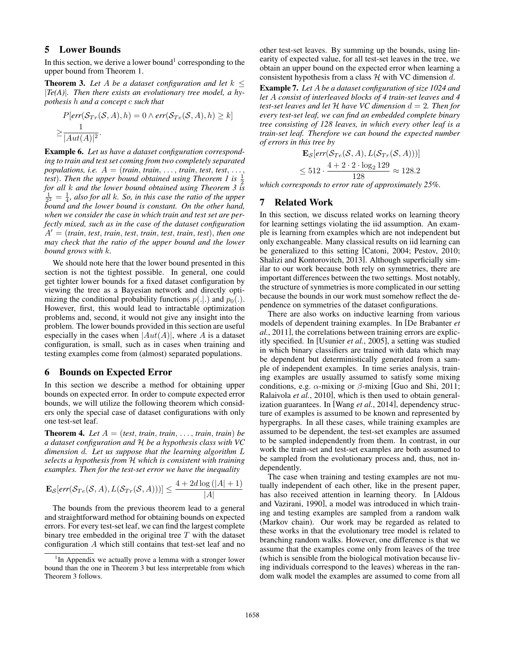### 5 Lower Bounds

In this section, we derive a lower bound<sup>1</sup> corresponding to the upper bound from Theorem 1.

**Theorem 3.** Let A be a dataset configuration and let  $k \leq$ *|Te(A)|. Then there exists an evolutionary tree model, a hypothesis h and a concept c such that*

$$
P[err(S_{Tr}(S, A), h) = 0 \wedge err(S_{Te}(S, A), h) \ge k]
$$
  

$$
\ge \frac{1}{|Aut(A)|^2}.
$$

Example 6. *Let us have a dataset configuration corresponding to train and test set coming from two completely separated populations, i.e.*  $A = (train, train, ..., train, test, test, ...,$ *test*). Then the upper bound obtained using Theorem 1 is  $\frac{1}{2}$ *for all k and the lower bound obtained using Theorem 3 is*  $\frac{1}{2^2} = \frac{1}{4}$ *, also for all k. So, in this case the ratio of the upper bound and the lower bound is constant. On the other hand, when we consider the case in which train and test set are perfectly mixed, such as in the case of the dataset configuration*  $A' = (train, test, train, test, train, test, train, test, train, test)$ *may check that the ratio of the upper bound and the lower bound grows with k.*

We should note here that the lower bound presented in this section is not the tightest possible. In general, one could get tighter lower bounds for a fixed dataset configuration by viewing the tree as a Bayesian network and directly optimizing the conditional probability functions  $p(.|.)$  and  $p_0(.)$ . However, first, this would lead to intractable optimization problems and, second, it would not give any insight into the problem. The lower bounds provided in this section are useful especially in the cases when  $|Aut(A)|$ , where *A* is a dataset configuration, is small, such as in cases when training and testing examples come from (almost) separated populations.

#### 6 Bounds on Expected Error

In this section we describe a method for obtaining upper bounds on expected error. In order to compute expected error bounds, we will utilize the following theorem which considers only the special case of dataset configurations with only one test-set leaf.

**Theorem 4.** Let  $A = (test, train, train, \ldots, train, train)$  be *a dataset configuration and H be a hypothesis class with VC dimension d. Let us suppose that the learning algorithm L selects a hypothesis from H which is consistent with training examples. Then for the test-set error we have the inequality*

$$
\mathbf{E}_{\mathcal{S}}[err(\mathcal{S}_{Te}(\mathcal{S}, A), L(\mathcal{S}_{Tr}(\mathcal{S}, A)))] \le \frac{4 + 2d \log(|A| + 1)}{|A|}
$$

The bounds from the previous theorem lead to a general and straightforward method for obtaining bounds on expected errors. For every test-set leaf, we can find the largest complete binary tree embedded in the original tree *T* with the dataset configuration *A* which still contains that test-set leaf and no other test-set leaves. By summing up the bounds, using linearity of expected value, for all test-set leaves in the tree, we obtain an upper bound on the expected error when learning a consistent hypothesis from a class *H* with VC dimension *d*.

Example 7. *Let A be a dataset configuration of size 1024 and let A consist of interleaved blocks of 4 train-set leaves and 4 test-set leaves and let H have VC dimension d* = 2*. Then for every test-set leaf, we can find an embedded complete binary tree consisting of 128 leaves, in which every other leaf is a train-set leaf. Therefore we can bound the expected number of errors in this tree by*

$$
\mathbf{E}_{\mathcal{S}}[err(\mathcal{S}_{Te}(\mathcal{S}, A), L(\mathcal{S}_{Tr}(\mathcal{S}, A)))]
$$
  

$$
\leq 512 \cdot \frac{4 + 2 \cdot 2 \cdot \log_2 129}{128} \approx 128.2
$$

*which corresponds to error rate of approximately 25%.*

#### 7 Related Work

In this section, we discuss related works on learning theory for learning settings violating the iid assumption. An example is learning from examples which are not independent but only exchangeable. Many classical results on iid learning can be generalized to this setting [Catoni, 2004; Pestov, 2010; Shalizi and Kontorovitch, 2013]. Although superficially similar to our work because both rely on symmetries, there are important differences between the two settings. Most notably, the structure of symmetries is more complicated in our setting because the bounds in our work must somehow reflect the dependence on symmetries of the dataset configurations.

There are also works on inductive learning from various models of dependent training examples. In [De Brabanter *et al.*, 2011], the correlations between training errors are explicitly specified. In [Usunier *et al.*, 2005], a setting was studied in which binary classifiers are trained with data which may be dependent but deterministically generated from a sample of independent examples. In time series analysis, training examples are usually assumed to satisfy some mixing conditions, e.g.  $\alpha$ -mixing or  $\beta$ -mixing [Guo and Shi, 2011; Ralaivola *et al.*, 2010], which is then used to obtain generalization guarantees. In [Wang *et al.*, 2014], dependency structure of examples is assumed to be known and represented by hypergraphs. In all these cases, while training examples are assumed to be dependent, the test-set examples are assumed to be sampled independently from them. In contrast, in our work the train-set and test-set examples are both assumed to be sampled from the evolutionary process and, thus, not independently.

The case when training and testing examples are not mutually independent of each other, like in the present paper, has also received attention in learning theory. In [Aldous and Vazirani, 1990], a model was introduced in which training and testing examples are sampled from a random walk (Markov chain). Our work may be regarded as related to these works in that the evolutionary tree model is related to branching random walks. However, one difference is that we assume that the examples come only from leaves of the tree (which is sensible from the biological motivation because living individuals correspond to the leaves) whereas in the random walk model the examples are assumed to come from all

<sup>&</sup>lt;sup>1</sup>In Appendix we actually prove a lemma with a stronger lower bound than the one in Theorem 3 but less interpretable from which Theorem 3 follows.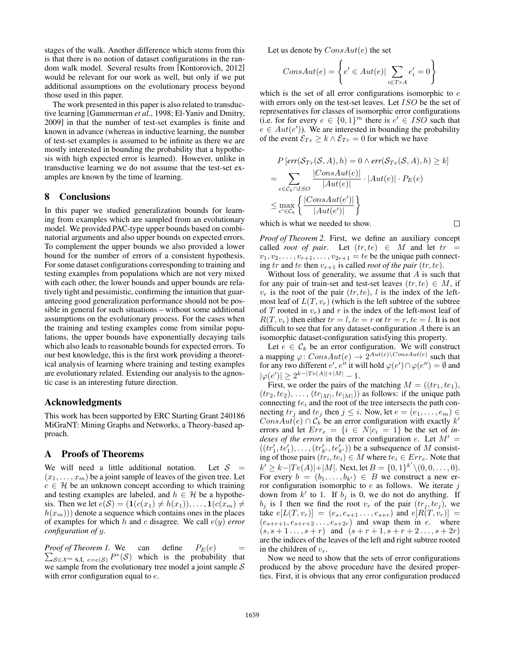stages of the walk. Another difference which stems from this is that there is no notion of dataset configurations in the random walk model. Several results from [Kontorovich, 2012] would be relevant for our work as well, but only if we put additional assumptions on the evolutionary process beyond those used in this paper.

The work presented in this paper is also related to transductive learning [Gammerman *et al.*, 1998; El-Yaniv and Dmitry, 2009] in that the number of test-set examples is finite and known in advance (whereas in inductive learning, the number of test-set examples is assumed to be infinite as there we are mostly interested in bounding the probability that a hypothesis with high expected error is learned). However, unlike in transductive learning we do not assume that the test-set examples are known by the time of learning.

#### 8 Conclusions

In this paper we studied generalization bounds for learning from examples which are sampled from an evolutionary model. We provided PAC-type upper bounds based on combinatorial arguments and also upper bounds on expected errors. To complement the upper bounds we also provided a lower bound for the number of errors of a consistent hypothesis. For some dataset configurations corresponding to training and testing examples from populations which are not very mixed with each other, the lower bounds and upper bounds are relatively tight and pessimistic, confirming the intuition that guaranteeing good generalization performance should not be possible in general for such situations – without some additional assumptions on the evolutionary process. For the cases when the training and testing examples come from similar populations, the upper bounds have exponentially decaying tails which also leads to reasonable bounds for expected errors. To our best knowledge, this is the first work providing a theoretical analysis of learning where training and testing examples are evolutionary related. Extending our analysis to the agnostic case is an interesting future direction.

### Acknowledgments

This work has been supported by ERC Starting Grant 240186 MiGraNT: Mining Graphs and Networks, a Theory-based approach.

#### A Proofs of Theorems

We will need a little additional notation. Let  $S =$  $(x_1, \ldots, x_m)$  be a joint sample of leaves of the given tree. Let  $c \in \mathcal{H}$  be an unknown concept according to which training and testing examples are labeled, and  $h \in \mathcal{H}$  be a hypothesis. Then we let  $e(S) = (1(c(x_1) \neq h(x_1)), \ldots, 1(c(x_m) \neq$  $h(x_m)$ ) denote a sequence which contains ones in the places of examples for which *h* and *c* disagree. We call *e*(*y*) *error configuration of y*.

*Proof of Theorem 1.*  $\sum_{S \in \mathcal{X}^m} s.t._{e=e(S)} P^*(S)$  which is the probability that can define  $P_E(e)$ we sample from the evolutionary tree model a joint sample *S* with error configuration equal to *e*.

Let us denote by *ConsAut*(*e*) the set

$$
ConsAut(e) = \left\{ e' \in Aut(e) | \sum_{i \in Tr A} e'_i = 0 \right\}
$$

which is the set of all error configurations isomorphic to *e* with errors only on the test-set leaves. Let *ISO* be the set of representatives for classes of isomorphic error configurations (i.e. for for every  $e \in \{0,1\}^m$  there is  $e' \in ISO$  such that  $e \in Aut(e')$ ). We are interested in bounding the probability of the event  $\mathcal{E}_{Te} \geq k \wedge \mathcal{E}_{Tr} = 0$  for which we have

$$
P\left[\text{err}(\mathcal{S}_{Tr}(\mathcal{S}, A), h) = 0 \land \text{err}(\mathcal{S}_{Te}(\mathcal{S}, A), h) \ge k\right]
$$
\n
$$
= \sum_{e \in \mathcal{C}_k \cap ISO} \frac{|ConsAut(e)|}{|Aut(e)|} \cdot |Aut(e)| \cdot P_E(e)
$$
\n
$$
\le \max_{e' \in \mathcal{C}_k} \left\{ \frac{|ConsAut(e')|}{|Aut(e')|} \right\}
$$

П

which is what we needed to show.

*Proof of Theorem 2.* First, we define an auxiliary concept called *root of pair*. Let  $(tr, te) \in M$  and let  $tr =$  $v_1, v_2, \ldots, v_{r+1}, \ldots, v_{2r+1} = te$  be the unique path connecting *tr* and *te* then  $v_{r+1}$  is called *root of the pair* (*tr, te*).

Without loss of generality, we assume that *A* is such that for any pair of train-set and test-set leaves  $(tr, te) \in M$ , if  $v_r$  is the root of the pair  $(tr, te)$ , *l* is the index of the leftmost leaf of  $L(T, v_r)$  (which is the left subtree of the subtree of *T* rooted in  $v_r$ ) and *r* is the index of the left-most leaf of  $R(T, v_r)$  then either  $tr = l$ ,  $te = r$  or  $tr = r$ ,  $te = l$ . It is not difficult to see that for any dataset-configuration *A* there is an isomorphic dataset-configuration satisfying this property.

Let  $e \in \mathcal{C}_k$  be an error configuration. We will construct a mapping  $\varphi$ : *ConsAut*(*e*)  $\rightarrow$  2<sup>*Aut*(*e*)</sub>*\ConsAut*(*e*) such that</sup> for any two different  $e', e''$  it will hold  $\varphi(e') \cap \varphi(e'') = \emptyset$  and  $|\varphi(e')| \geq 2^{k-|Te(A)|+|M|} - 1.$ 

First, we order the pairs of the matching  $M = ((tr_1, te_1)$ ,  $(tr_2, te_2), \ldots, (tr_{|M|}, te_{|M|})$  as follows: if the unique path connecting *te<sup>i</sup>* and the root of the tree intersects the path connecting  $tr_j$  and  $te_j$  then  $j \leq i$ . Now, let  $e = (e_1, \ldots, e_m) \in$  $ConsAut(e) \cap C_k$  be an error configuration with exactly  $k'$ errors and let  $Err_e = \{i \in N | c_i = 1\}$  be the set of *indexes of the errors* in the error configuration *e*. Let  $M' =$  $((tr'_1, te'_1), \ldots, (tr'_{k'}, te'_{k'})$  be a subsequence of *M* consisting of those pairs  $(tr_i, te_i) \in M$  where  $te_i \in Err_e$ . Note that  $k' \geq k - |Te(A)| + |M|$ . Next, let  $B = \{0, 1\}^{k'} \setminus (0, 0, \ldots, 0)$ . For every  $b = (b_1, \ldots, b_{k'}) \in B$  we construct a new error configuration isomorphic to *e* as follows. We iterate *j* down from  $k'$  to 1. If  $b_j$  is 0, we do not do anything. If  $b_i$  is 1 then we find the root  $v_r$  of the pair  $(tr_i, te_i)$ , we  $\text{take } e[L(T, v_r)] = (e_s, e_{s+1}, \ldots, e_{s+r}) \text{ and } e[R(T, v_r)] =$  $(e_{s+r+1}, e_{s+r+2}, \ldots, e_{s+2r})$  and swap them in *e*. where  $(s, s+1, \ldots, s+r)$  and  $(s+r+1, s+r+2, \ldots, s+2r)$ are the indices of the leaves of the left and right subtree rooted in the children of *vr*.

Now we need to show that the sets of error configurations produced by the above procedure have the desired properties. First, it is obvious that any error configuration produced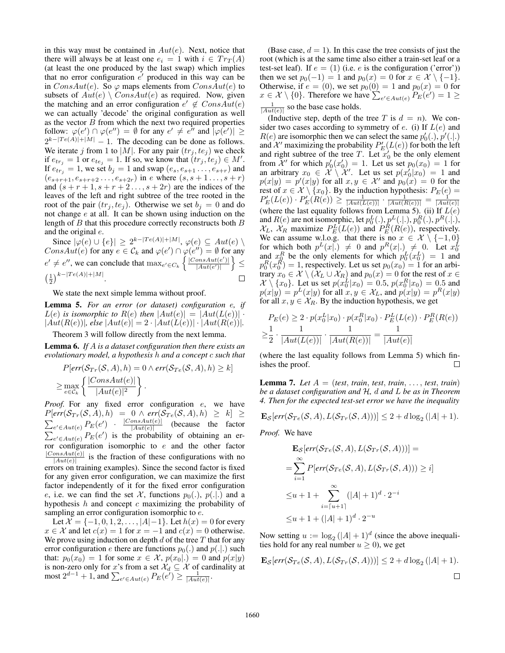in this way must be contained in *Aut*(*e*). Next, notice that there will always be at least one  $e_i = 1$  with  $i \in Tr_T(A)$ (at least the one produced by the last swap) which implies that no error configuration *e'* produced in this way can be in *ConsAut*(*e*). So  $\varphi$  maps elements from *ConsAut*(*e*) to subsets of  $Aut(e) \setminus Const(e)$  as required. Now, given the matching and an error configuration  $e' \notin ConsAut(e)$ we can actually 'decode' the original configuration as well as the vector *B* from which the next two required properties follow:  $\varphi(e') \cap \varphi(e'') = \emptyset$  for any  $e' \neq e''$  and  $|\varphi(e')| \ge$  $2^{k-|Te(A)|+|M|} - 1$ . The decoding can be done as follows. We iterate *j* from 1 to  $|M|$ . For any pair  $(tr_j, te_j)$  we check if  $e_{tr_j} = 1$  or  $e_{te_j} = 1$ . If so, we know that  $(tr_j, te_j) \in M'$ . If  $e_{tr_j} = 1$ , we set  $b_j = 1$  and swap  $(e_s, e_{s+1}, \ldots, e_{s+r})$  and  $(e_{s+r+1}, e_{s+r+2}, \ldots, e_{s+2r})$  in *e* where  $(s, s+1, \ldots, s+r)$ and  $(s + r + 1, s + r + 2, \ldots, s + 2r)$  are the indices of the leaves of the left and right subtree of the tree rooted in the root of the pair  $(tr_j, te_j)$ . Otherwise we set  $b_j = 0$  and do not change *e* at all. It can be shown using induction on the length of *B* that this procedure correctly reconstructs both *B* and the original *e*.

Since  $|\varphi(e) \cup \{e\}| \geq 2^{k-|Te(A)|+|M|}, \varphi(e) \subseteq Aut(e) \setminus$ *ConsAut*(*e*) for any  $e \in C_k$  and  $\varphi(e') \cap \varphi(e'') = \emptyset$  for any  $e' \neq e''$ , we can conclude that  $\max_{e' \in C_k} \left\{ \frac{|ConsAut(e')|}{|Aut(e')|} \right\}$  $\mathfrak{d}$  $\leq$  $|Aut(e')|$  $\left(\frac{1}{2}\right)^{k-|Te(A)|+|M|}.$  $\Box$ 

We state the next simple lemma without proof.

Lemma 5. *For an error (or dataset) configuration e, if*  $L(e)$  *is isomorphic to*  $R(e)$  *then*  $|Aut(e)| = |Aut(L(e))|$  ·  $|Aut(R(e))|$ , else  $|Aut(e)| = 2 \cdot |Aut(L(e))| \cdot |Aut(R(e))|$ .

Theorem 3 will follow directly from the next lemma.

Lemma 6. *If A is a dataset configuration then there exists an evolutionary model, a hypothesis h and a concept c such that*

$$
P[err(S_{Tr}(S, A), h) = 0 \land err(S_{Te}(S, A), h) \ge k]
$$
  
\n
$$
\ge \max_{e \in C_k} \left\{ \frac{|ConsAut(e)|}{|Aut(e)|^2} \right\}.
$$

*Proof.* For any fixed error configuration *e*, we have  $P[err(\mathcal{S}_{Tr}(\mathcal{S}, A), h) = 0 \land err(\mathcal{S}_{Te}(\mathcal{S}, A), h) \geq k] \geq$  $\sum_{e' \in Aut(e)} P_E(e')$  *·*  $\frac{|ConsAut(e)|}{|Aut(e)|}$  (because the factor  $\sum_{e' \in Aut(e)} P_E(e')$  is the probability of obtaining an error configuration isomorphic to *e* and the other factor  $\frac{|ConSAut(e)|}{|Aut(e)|}$  is the fraction of these configurations with no errors on training examples). Since the second factor is fixed for any given error configuration, we can maximize the first factor independently of it for the fixed error configuration *e*, i.e. we can find the set *X*, functions  $p_0(.)$ ,  $p(.|.)$  and a hypothesis *h* and concept *c* maximizing the probability of sampling an error configuration isomorphic to *e*.

Let  $\mathcal{X} = \{-1, 0, 1, 2, \ldots, |A| - 1\}$ . Let  $h(x) = 0$  for every  $x \in \mathcal{X}$  and let  $c(x) = 1$  for  $x = -1$  and  $c(x) = 0$  otherwise. We prove using induction on depth *d* of the tree *T* that for any error configuration *e* there are functions  $p_0(.)$  and  $p(.|.)$  such that:  $p_0(x_0) = 1$  for some  $x \in \mathcal{X}$ ,  $p(x_0|.) = 0$  and  $p(x|y)$ is non-zero only for *x*'s from a set  $\mathcal{X}_d \subseteq \mathcal{X}$  of cardinality at  $\text{most } 2^{d-1} + 1$ , and  $\sum_{e' \in Aut(e)} P_E(e') \ge \frac{1}{|Aut(e)|}$ .

(Base case,  $d = 1$ ). In this case the tree consists of just the root (which is at the same time also either a train-set leaf or a test-set leaf). If  $e = (1)$  (i.e.  $e$  is the configuration ('error')) then we set  $p_0(-1) = 1$  and  $p_0(x) = 0$  for  $x \in \mathcal{X} \setminus \{-1\}$ . Otherwise, if  $e = (0)$ , we set  $p_0(0) = 1$  and  $p_0(x) = 0$  for  $x \in \mathcal{X} \setminus \{0\}$ . Therefore we have  $\sum_{e' \in Aut(e)} P_E(e') = 1 \ge$  $\frac{1}{|Aut(e)|}$  so the base case holds.

(Inductive step, depth of the tree  $T$  is  $d = n$ ). We consider two cases according to symmetry of *e*. (i) If *L*(*e*) and  $R(e)$  are isomorphic then we can select the same  $p'_0(.)$ ,  $p'(.|.)$ and  $\mathcal{X}'$  maximizing the probability  $P'_E(L(e))$  for both the left and right subtree of the tree  $T$ . Let  $x_0'$  be the only element from  $\mathcal{X}'$  for which  $p'_0(x'_0) = 1$ . Let us set  $p_0(x_0) = 1$  for an arbitrary  $x_0 \in \mathcal{X} \setminus \mathcal{X}'$ . Let us set  $p(x'_0|x_0) = 1$  and  $p(x|y) = p'(x|y)$  for all  $x, y \in \mathcal{X}'$  and  $p_0(x) = 0$  for the rest of  $x \in \mathcal{X} \setminus \{x_0\}$ . By the induction hypothesis:  $P_E(e) = P'_E(L(e)) \cdot P'_E(R(e)) \ge \frac{1}{|Aut(L(e))|} \cdot \frac{1}{|Aut(R(e))|} = \frac{1}{|Aut(e)|}$ <br>(where the last equality follows from Lemma 5). (ii) If  $L(e)$ and *R*(*e*) are not isomorphic, let  $p_0^L(.)$ ,  $p_L^L(.)$ ,  $p_0^R(.)$ ,  $p_R^R(.)$ ,  $p_R^R(.)$ ,  $X_L$ ,  $X_R$  maximize  $P_E^L(L(e))$  and  $P_E^R(R(e))$ , respectively. We can assume w.l.o.g. that there is no  $x \in \mathcal{X} \setminus \{-1,0\}$ for which both  $p^{L}(x|.) \neq 0$  and  $p^{R}(x|.) \neq 0$ . Let  $x_0^{L}$  and  $x_0^{R}$  be the only elements for which  $p_0^{L}(x_0^{L}) = 1$  and  $p_0^R(x_0^R) = 1$ , respectively. Let us set  $p_0(x_0) = 1$  for an arbitrary  $x_0 \in \mathcal{X} \setminus (\mathcal{X}_L \cup \mathcal{X}_R)$  and  $p_0(x) = 0$  for the rest of  $x \in \mathcal{X} \setminus \mathcal{X}_R$  $\mathcal{X} \setminus \{x_0\}$ . Let us set  $p(x_0^L | x_0) = 0.5$ ,  $p(x_0^R | x_0) = 0.5$  and  $p(x|y) = p^L(x|y)$  for all  $x, y \in \mathcal{X}_L$ , and  $p(x|y) = p^R(x|y)$ for all  $x, y \in \mathcal{X}_R$ . By the induction hypothesis, we get

$$
P_E(e) \ge 2 \cdot p(x_0^L | x_0) \cdot p(x_0^R | x_0) \cdot P_E^L(L(e)) \cdot P_E^R(R(e))
$$
  

$$
\ge \frac{1}{2} \cdot \frac{1}{|Aut(L(e))|} \cdot \frac{1}{|Aut(R(e))|} = \frac{1}{|Aut(e)|}
$$

(where the last equality follows from Lemma 5) which finishes the proof. П

**Lemma 7.** Let  $A = (test, train, test, train, \ldots, test, train)$ *be a dataset configuration and H, d and L be as in Theorem 4. Then for the expected test-set error we have the inequality*

$$
\mathbf{E}_{\mathcal{S}}[err(\mathcal{S}_{Te}(\mathcal{S}, A), L(\mathcal{S}_{Tr}(\mathcal{S}, A))))] \leq 2 + d \log_2(|A| + 1).
$$

*Proof.* We have

$$
\mathbf{E}_{\mathcal{S}}[err(\mathcal{S}_{Te}(\mathcal{S}, A), L(\mathcal{S}_{Tr}(\mathcal{S}, A)))] =
$$
\n
$$
= \sum_{i=1}^{\infty} P[err(\mathcal{S}_{Te}(\mathcal{S}, A), L(\mathcal{S}_{Tr}(\mathcal{S}, A))) \geq i]
$$
\n
$$
\leq u + 1 + \sum_{i=[u+1]}^{\infty} (|A| + 1)^{d} \cdot 2^{-i}
$$
\n
$$
\leq u + 1 + (|A| + 1)^{d} \cdot 2^{-u}
$$

Now setting  $u := \log_2 (|A| + 1)^d$  (since the above inequalities hold for any real number  $u \geq 0$ ), we get

$$
\mathbf{E}_{\mathcal{S}}[err(\mathcal{S}_{Te}(\mathcal{S}, A), L(\mathcal{S}_{Tr}(\mathcal{S}, A)))] \le 2 + d \log_2(|A| + 1).
$$